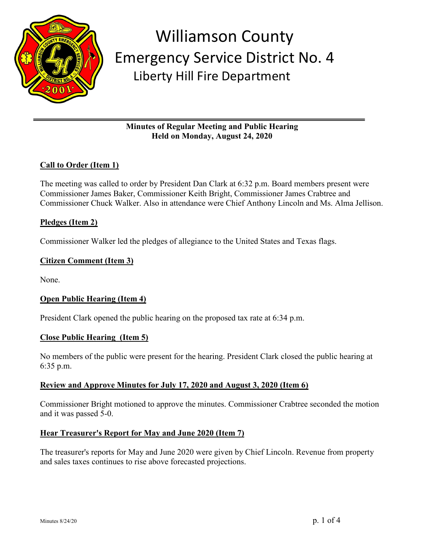

# **Minutes of Regular Meeting and Public Hearing Held on Monday, August 24, 2020**

# **Call to Order (Item 1)**

The meeting was called to order by President Dan Clark at 6:32 p.m. Board members present were Commissioner James Baker, Commissioner Keith Bright, Commissioner James Crabtree and Commissioner Chuck Walker. Also in attendance were Chief Anthony Lincoln and Ms. Alma Jellison.

### **Pledges (Item 2)**

Commissioner Walker led the pledges of allegiance to the United States and Texas flags.

### **Citizen Comment (Item 3)**

None.

### **Open Public Hearing (Item 4)**

President Clark opened the public hearing on the proposed tax rate at 6:34 p.m.

#### **Close Public Hearing (Item 5)**

No members of the public were present for the hearing. President Clark closed the public hearing at 6:35 p.m.

### **Review and Approve Minutes for July 17, 2020 and August 3, 2020 (Item 6)**

Commissioner Bright motioned to approve the minutes. Commissioner Crabtree seconded the motion and it was passed 5-0.

### **Hear Treasurer's Report for May and June 2020 (Item 7)**

The treasurer's reports for May and June 2020 were given by Chief Lincoln. Revenue from property and sales taxes continues to rise above forecasted projections.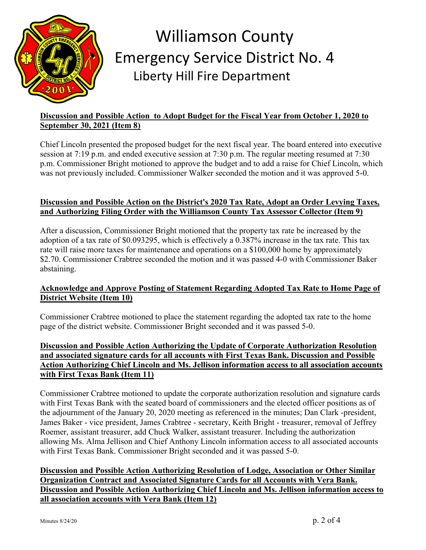

# **Discussion and Possible Action to Adopt Budget for the Fiscal Year from October 1, 2020 to September 30, 2021 (Item 8)**

Chief Lincoln presented the proposed budget for the next fiscal year. The board entered into executive session at 7:19 p.m. and ended executive session at 7:30 p.m. The regular meeting resumed at 7:30 p.m. Commissioner Bright motioned to approve the budget and to add a raise for Chief Lincoln, which was not previously included. Commissioner Walker seconded the motion and it was approved 5-0.

# **Discussion and Possible Action on the District's 2020 Tax Rate, Adopt an Order Levying Taxes, and Authorizing Filing Order with the Williamson County Tax Assessor Collector (Item 9)**

After a discussion, Commissioner Bright motioned that the property tax rate be increased by the adoption of a tax rate of \$0.093295, which is effectively a 0.387% increase in the tax rate. This tax rate will raise more taxes for maintenance and operations on a \$100,000 home by approximately \$2.70. Commissioner Crabtree seconded the motion and it was passed 4-0 with Commissioner Baker abstaining.

# **Acknowledge and Approve Posting of Statement Regarding Adopted Tax Rate to Home Page of District Website (Item 10)**

Commissioner Crabtree motioned to place the statement regarding the adopted tax rate to the home page of the district website. Commissioner Bright seconded and it was passed 5-0.

### **Discussion and Possible Action Authorizing the Update of Corporate Authorization Resolution and associated signature cards for all accounts with First Texas Bank. Discussion and Possible Action Authorizing Chief Lincoln and Ms. Jellison information access to all association accounts with First Texas Bank (Item 11)**

Commissioner Crabtree motioned to update the corporate authorization resolution and signature cards with First Texas Bank with the seated board of commissioners and the elected officer positions as of the adjournment of the January 20, 2020 meeting as referenced in the minutes; Dan Clark -president, James Baker - vice president, James Crabtree - secretary, Keith Bright - treasurer, removal of Jeffrey Roemer, assistant treasurer, add Chuck Walker, assistant treasurer. Including the authorization allowing Ms. Alma Jellison and Chief Anthony Lincoln information access to all associated accounts with First Texas Bank. Commissioner Bright seconded and it was passed 5-0.

**Discussion and Possible Action Authorizing Resolution of Lodge, Association or Other Similar Organization Contract and Associated Signature Cards for all Accounts with Vera Bank. Discussion and Possible Action Authorizing Chief Lincoln and Ms. Jellison information access to all association accounts with Vera Bank (Item 12)**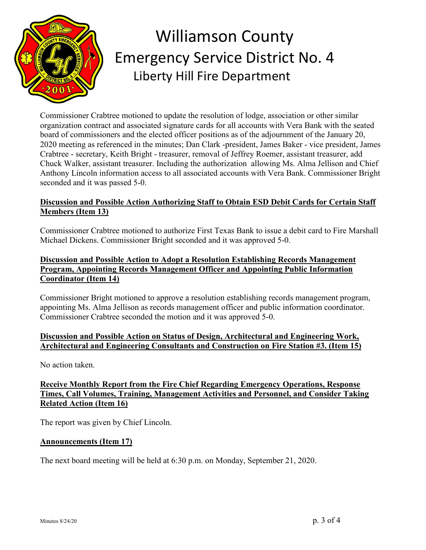

Commissioner Crabtree motioned to update the resolution of lodge, association or other similar organization contract and associated signature cards for all accounts with Vera Bank with the seated board of commissioners and the elected officer positions as of the adjournment of the January 20, 2020 meeting as referenced in the minutes; Dan Clark -president, James Baker - vice president, James Crabtree - secretary, Keith Bright - treasurer, removal of Jeffrey Roemer, assistant treasurer, add Chuck Walker, assistant treasurer. Including the authorization allowing Ms. Alma Jellison and Chief Anthony Lincoln information access to all associated accounts with Vera Bank. Commissioner Bright seconded and it was passed 5-0.

# **Discussion and Possible Action Authorizing Staff to Obtain ESD Debit Cards for Certain Staff Members (Item 13)**

Commissioner Crabtree motioned to authorize First Texas Bank to issue a debit card to Fire Marshall Michael Dickens. Commissioner Bright seconded and it was approved 5-0.

### **Discussion and Possible Action to Adopt a Resolution Establishing Records Management Program, Appointing Records Management Officer and Appointing Public Information Coordinator (Item 14)**

Commissioner Bright motioned to approve a resolution establishing records management program, appointing Ms. Alma Jellison as records management officer and public information coordinator. Commissioner Crabtree seconded the motion and it was approved 5-0.

### **Discussion and Possible Action on Status of Design, Architectural and Engineering Work, Architectural and Engineering Consultants and Construction on Fire Station #3. (Item 15)**

No action taken.

# **Receive Monthly Report from the Fire Chief Regarding Emergency Operations, Response Times, Call Volumes, Training, Management Activities and Personnel, and Consider Taking Related Action (Item 16)**

The report was given by Chief Lincoln.

### **Announcements (Item 17)**

The next board meeting will be held at 6:30 p.m. on Monday, September 21, 2020.